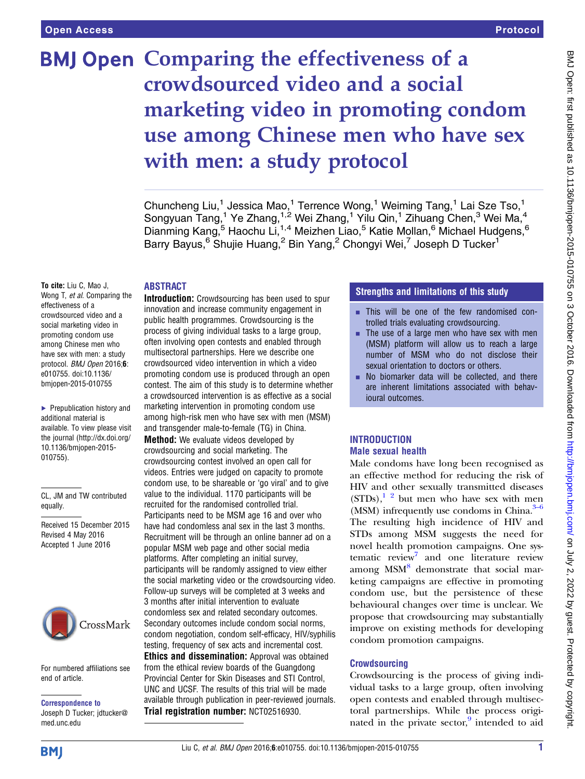# BMJ Open Comparing the effectiveness of a crowdsourced video and a social marketing video in promoting condom use among Chinese men who have sex with men: a study protocol

Chuncheng Liu,<sup>1</sup> Jessica Mao,<sup>1</sup> Terrence Wong,<sup>1</sup> Weiming Tang,<sup>1</sup> Lai Sze Tso,<sup>1</sup> Songyuan Tang,<sup>1</sup> Ye Zhang,<sup>1,2</sup> Wei Zhang,<sup>1</sup> Yilu Qin,<sup>1</sup> Zihuang Chen,<sup>3</sup> Wei Ma,<sup>4</sup> Dianming Kang,<sup>5</sup> Haochu Li,<sup>1,4</sup> Meizhen Liao,<sup>5</sup> Katie Mollan,<sup>6</sup> Michael Hudgens,<sup>6</sup> Barry Bayus,<sup>6</sup> Shujie Huang,<sup>2</sup> Bin Yang,<sup>2</sup> Chongyi Wei,<sup>7</sup> Joseph D Tucker<sup>1</sup>

# **ABSTRACT**

To cite: Liu C, Mao J, Wong T, et al. Comparing the effectiveness of a crowdsourced video and a social marketing video in promoting condom use among Chinese men who have sex with men: a study protocol. BMJ Open 2016;6: e010755. doi:10.1136/ bmjopen-2015-010755

▶ Prepublication history and additional material is available. To view please visit the journal [\(http://dx.doi.org/](http://dx.doi.org/10.1136/bmjopen-2015-010755) [10.1136/bmjopen-2015-](http://dx.doi.org/10.1136/bmjopen-2015-010755) [010755\)](http://dx.doi.org/10.1136/bmjopen-2015-010755).

CL, JM and TW contributed equally.

Received 15 December 2015 Revised 4 May 2016 Accepted 1 June 2016



For numbered affiliations see end of article.

Correspondence to Joseph D Tucker; jdtucker@ med.unc.edu

Introduction: Crowdsourcing has been used to spur innovation and increase community engagement in public health programmes. Crowdsourcing is the process of giving individual tasks to a large group, often involving open contests and enabled through multisectoral partnerships. Here we describe one crowdsourced video intervention in which a video promoting condom use is produced through an open contest. The aim of this study is to determine whether a crowdsourced intervention is as effective as a social marketing intervention in promoting condom use among high-risk men who have sex with men (MSM) and transgender male-to-female (TG) in China. **Method:** We evaluate videos developed by crowdsourcing and social marketing. The crowdsourcing contest involved an open call for videos. Entries were judged on capacity to promote condom use, to be shareable or 'go viral' and to give value to the individual. 1170 participants will be recruited for the randomised controlled trial. Participants need to be MSM age 16 and over who have had condomless anal sex in the last 3 months. Recruitment will be through an online banner ad on a popular MSM web page and other social media platforms. After completing an initial survey, participants will be randomly assigned to view either the social marketing video or the crowdsourcing video. Follow-up surveys will be completed at 3 weeks and 3 months after initial intervention to evaluate condomless sex and related secondary outcomes. Secondary outcomes include condom social norms, condom negotiation, condom self-efficacy, HIV/syphilis testing, frequency of sex acts and incremental cost. Ethics and dissemination: Approval was obtained from the ethical review boards of the Guangdong Provincial Center for Skin Diseases and STI Control, UNC and UCSF. The results of this trial will be made

available through publication in peer-reviewed journals.

Trial registration number: [NCT02516930](https://clinicaltrials.gov/ct2/show/NCT02516930).

# Strengths and limitations of this study

- **Example 1** This will be one of the few randomised controlled trials evaluating crowdsourcing.
- $\blacksquare$  The use of a large men who have sex with men (MSM) platform will allow us to reach a large number of MSM who do not disclose their sexual orientation to doctors or others.
- $\blacksquare$  No biomarker data will be collected, and there are inherent limitations associated with behavioural outcomes.

# **INTRODUCTION** Male sexual health

Male condoms have long been recognised as an effective method for reducing the risk of HIV and other sexually transmitted diseases  $(STDs)$ ,<sup>1</sup> <sup>2</sup> but men who have sex with men (MSM) infrequently use condoms in China. $3-6$ The resulting high incidence of HIV and STDs among MSM suggests the need for novel health promotion campaigns. One sys-tematic review<sup>[7](#page-5-0)</sup> and one literature review among MSM<sup>[8](#page-5-0)</sup> demonstrate that social marketing campaigns are effective in promoting condom use, but the persistence of these behavioural changes over time is unclear. We propose that crowdsourcing may substantially improve on existing methods for developing condom promotion campaigns.

# **Crowdsourcing**

Crowdsourcing is the process of giving individual tasks to a large group, often involving open contests and enabled through multisectoral partnerships. While the process originated in the private sector, $9$  intended to aid

**BMI**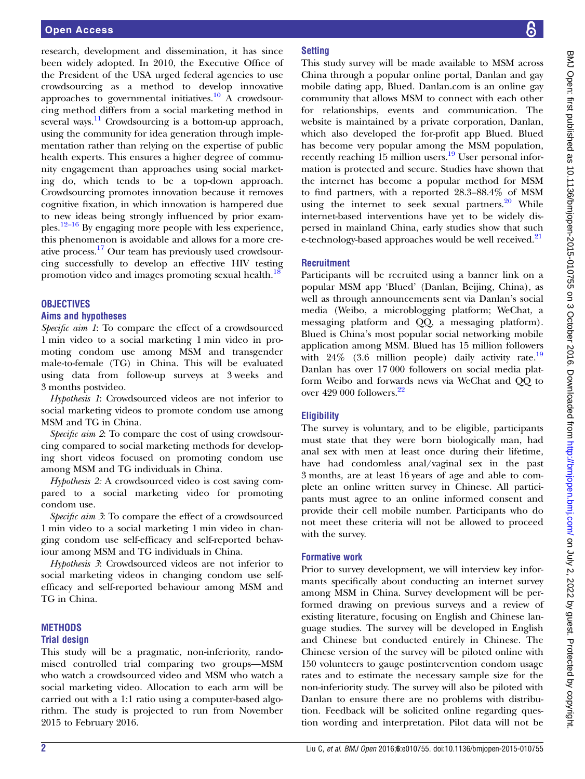research, development and dissemination, it has since been widely adopted. In 2010, the Executive Office of the President of the USA urged federal agencies to use crowdsourcing as a method to develop innovative approaches to governmental initiatives.<sup>[10](#page-5-0)</sup> A crowdsourcing method differs from a social marketing method in several ways. $\frac{11}{11}$  $\frac{11}{11}$  $\frac{11}{11}$  Crowdsourcing is a bottom-up approach, using the community for idea generation through implementation rather than relying on the expertise of public health experts. This ensures a higher degree of community engagement than approaches using social marketing do, which tends to be a top-down approach. Crowdsourcing promotes innovation because it removes cognitive fixation, in which innovation is hampered due to new ideas being strongly influenced by prior examples[.12](#page-5-0)–<sup>16</sup> By engaging more people with less experience, this phenomenon is avoidable and allows for a more creative process.[17](#page-5-0) Our team has previously used crowdsourcing successfully to develop an effective HIV testing promotion video and images promoting sexual health.<sup>[18](#page-5-0)</sup>

# **OBJECTIVES**

# Aims and hypotheses

Specific aim 1: To compare the effect of a crowdsourced 1 min video to a social marketing 1 min video in promoting condom use among MSM and transgender male-to-female (TG) in China. This will be evaluated using data from follow-up surveys at 3 weeks and 3 months postvideo.

Hypothesis 1: Crowdsourced videos are not inferior to social marketing videos to promote condom use among MSM and TG in China.

Specific aim 2: To compare the cost of using crowdsourcing compared to social marketing methods for developing short videos focused on promoting condom use among MSM and TG individuals in China.

Hypothesis 2: A crowdsourced video is cost saving compared to a social marketing video for promoting condom use.

Specific aim 3: To compare the effect of a crowdsourced 1 min video to a social marketing 1 min video in changing condom use self-efficacy and self-reported behaviour among MSM and TG individuals in China.

Hypothesis 3: Crowdsourced videos are not inferior to social marketing videos in changing condom use selfefficacy and self-reported behaviour among MSM and TG in China.

# **METHODS**

# Trial design

This study will be a pragmatic, non-inferiority, randomised controlled trial comparing two groups—MSM who watch a crowdsourced video and MSM who watch a social marketing video. Allocation to each arm will be carried out with a 1:1 ratio using a computer-based algorithm. The study is projected to run from November 2015 to February 2016.

# **Setting**

This study survey will be made available to MSM across China through a popular online portal, Danlan and gay mobile dating app, Blued. Danlan.com is an online gay community that allows MSM to connect with each other for relationships, events and communication. The website is maintained by a private corporation, Danlan, which also developed the for-profit app Blued. Blued has become very popular among the MSM population, recently reaching 15 million users.<sup>[19](#page-5-0)</sup> User personal information is protected and secure. Studies have shown that the internet has become a popular method for MSM to find partners, with a reported 28.3–88.4% of MSM using the internet to seek sexual partners. $20$  While internet-based interventions have yet to be widely dispersed in mainland China, early studies show that such e-technology-based approaches would be well received.<sup>[21](#page-5-0)</sup>

# **Recruitment**

Participants will be recruited using a banner link on a popular MSM app 'Blued' (Danlan, Beijing, China), as well as through announcements sent via Danlan's social media (Weibo, a microblogging platform; WeChat, a messaging platform and QQ, a messaging platform). Blued is China's most popular social networking mobile application among MSM. Blued has 15 million followers with  $24\%$  (3.6 million people) daily activity rate.<sup>[19](#page-5-0)</sup> Danlan has over 17 000 followers on social media platform Weibo and forwards news via WeChat and QQ to over 429 000 followers.<sup>[22](#page-5-0)</sup>

# **Eligibility**

The survey is voluntary, and to be eligible, participants must state that they were born biologically man, had anal sex with men at least once during their lifetime, have had condomless anal/vaginal sex in the past 3 months, are at least 16 years of age and able to complete an online written survey in Chinese. All participants must agree to an online informed consent and provide their cell mobile number. Participants who do not meet these criteria will not be allowed to proceed with the survey.

# Formative work

Prior to survey development, we will interview key informants specifically about conducting an internet survey among MSM in China. Survey development will be performed drawing on previous surveys and a review of existing literature, focusing on English and Chinese language studies. The survey will be developed in English and Chinese but conducted entirely in Chinese. The Chinese version of the survey will be piloted online with 150 volunteers to gauge postintervention condom usage rates and to estimate the necessary sample size for the non-inferiority study. The survey will also be piloted with Danlan to ensure there are no problems with distribution. Feedback will be solicited online regarding question wording and interpretation. Pilot data will not be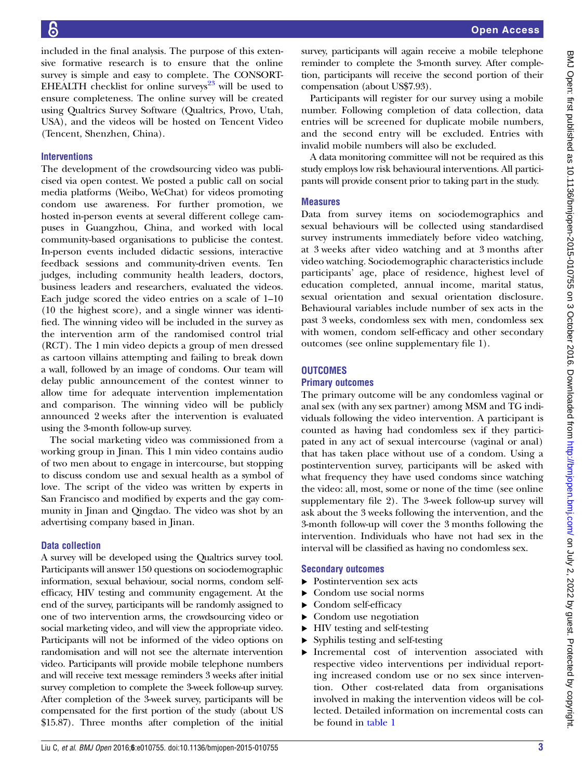included in the final analysis. The purpose of this extensive formative research is to ensure that the online survey is simple and easy to complete. The CONSORT-EHEALTH checklist for online surveys $^{23}$  $^{23}$  $^{23}$  will be used to ensure completeness. The online survey will be created using Qualtrics Survey Software (Qualtrics, Provo, Utah, USA), and the videos will be hosted on Tencent Video (Tencent, Shenzhen, China).

# **Interventions**

The development of the crowdsourcing video was publicised via open contest. We posted a public call on social media platforms (Weibo, WeChat) for videos promoting condom use awareness. For further promotion, we hosted in-person events at several different college campuses in Guangzhou, China, and worked with local community-based organisations to publicise the contest. In-person events included didactic sessions, interactive feedback sessions and community-driven events. Ten judges, including community health leaders, doctors, business leaders and researchers, evaluated the videos. Each judge scored the video entries on a scale of 1–10 (10 the highest score), and a single winner was identified. The winning video will be included in the survey as the intervention arm of the randomised control trial (RCT). The 1 min video depicts a group of men dressed as cartoon villains attempting and failing to break down a wall, followed by an image of condoms. Our team will delay public announcement of the contest winner to allow time for adequate intervention implementation and comparison. The winning video will be publicly announced 2 weeks after the intervention is evaluated using the 3-month follow-up survey.

The social marketing video was commissioned from a working group in Jinan. This 1 min video contains audio of two men about to engage in intercourse, but stopping to discuss condom use and sexual health as a symbol of love. The script of the video was written by experts in San Francisco and modified by experts and the gay community in Jinan and Qingdao. The video was shot by an advertising company based in Jinan.

### Data collection

A survey will be developed using the Qualtrics survey tool. Participants will answer 150 questions on sociodemographic information, sexual behaviour, social norms, condom selfefficacy, HIV testing and community engagement. At the end of the survey, participants will be randomly assigned to one of two intervention arms, the crowdsourcing video or social marketing video, and will view the appropriate video. Participants will not be informed of the video options on randomisation and will not see the alternate intervention video. Participants will provide mobile telephone numbers and will receive text message reminders 3 weeks after initial survey completion to complete the 3-week follow-up survey. After completion of the 3-week survey, participants will be compensated for the first portion of the study (about US \$15.87). Three months after completion of the initial

survey, participants will again receive a mobile telephone reminder to complete the 3-month survey. After completion, participants will receive the second portion of their compensation (about US\$7.93).

Participants will register for our survey using a mobile number. Following completion of data collection, data entries will be screened for duplicate mobile numbers, and the second entry will be excluded. Entries with invalid mobile numbers will also be excluded.

A data monitoring committee will not be required as this study employs low risk behavioural interventions. All participants will provide consent prior to taking part in the study.

### Measures

Data from survey items on sociodemographics and sexual behaviours will be collected using standardised survey instruments immediately before video watching, at 3 weeks after video watching and at 3 months after video watching. Sociodemographic characteristics include participants' age, place of residence, highest level of education completed, annual income, marital status, sexual orientation and sexual orientation disclosure. Behavioural variables include number of sex acts in the past 3 weeks, condomless sex with men, condomless sex with women, condom self-efficacy and other secondary outcomes (see online [supplementary](http://dx.doi.org/10.1136/bmjopen-2015-010755) file 1).

### **OUTCOMES**

#### Primary outcomes

The primary outcome will be any condomless vaginal or anal sex (with any sex partner) among MSM and TG individuals following the video intervention. A participant is counted as having had condomless sex if they participated in any act of sexual intercourse (vaginal or anal) that has taken place without use of a condom. Using a postintervention survey, participants will be asked with what frequency they have used condoms since watching the video: all, most, some or none of the time (see online [supplementary](http://dx.doi.org/10.1136/bmjopen-2015-010755) file 2). The 3-week follow-up survey will ask about the 3 weeks following the intervention, and the 3-month follow-up will cover the 3 months following the intervention. Individuals who have not had sex in the interval will be classified as having no condomless sex.

#### Secondary outcomes

- ▸ Postintervention sex acts
- Condom use social norms
- ▶ Condom self-efficacy
- ▸ Condom use negotiation
- ▸ HIV testing and self-testing
- ▸ Syphilis testing and self-testing
- ▸ Incremental cost of intervention associated with respective video interventions per individual reporting increased condom use or no sex since intervention. Other cost-related data from organisations involved in making the intervention videos will be collected. Detailed information on incremental costs can be found in [table 1](#page-3-0)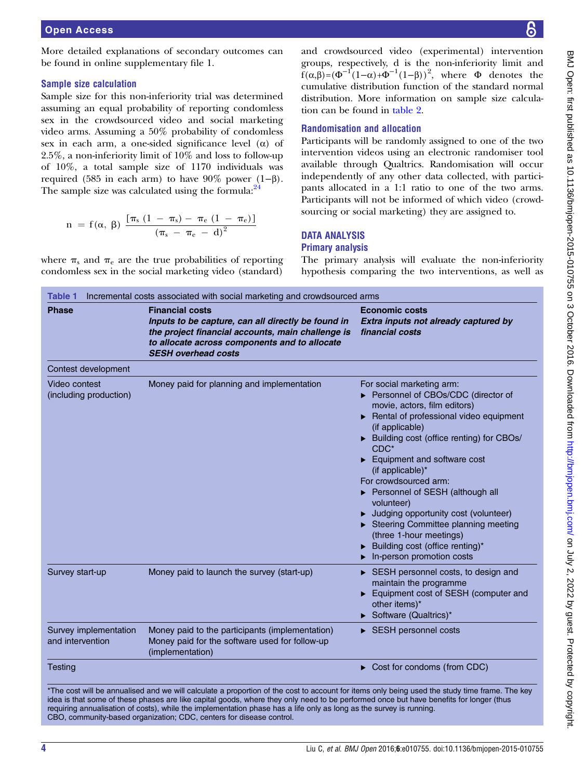<span id="page-3-0"></span>More detailed explanations of secondary outcomes can be found in online [supplementary](http://dx.doi.org/10.1136/bmjopen-2015-010755) file 1.

# Sample size calculation

Sample size for this non-inferiority trial was determined assuming an equal probability of reporting condomless sex in the crowdsourced video and social marketing video arms. Assuming a 50% probability of condomless sex in each arm, a one-sided significance level  $(\alpha)$  of 2.5%, a non-inferiority limit of 10% and loss to follow-up of 10%, a total sample size of 1170 individuals was required (585 in each arm) to have  $90\%$  power (1–β). The sample size was calculated using the formula:  $2^4$ 

$$
n \ = \ f(\alpha, \ \beta) \ \frac{[ \pi_s \ (1 \ - \ \pi_s) \ - \ \pi_e \ (1 \ - \ \pi_e)]}{( \pi_s \ - \ \pi_e \ - \ d)^2}
$$

where  $\pi_s$  and  $\pi_e$  are the true probabilities of reporting condomless sex in the social marketing video (standard)

and crowdsourced video (experimental) intervention groups, respectively, d is the non-inferiority limit and  $f(\alpha, \beta) = (\Phi^{-1}(1-\alpha) + \Phi^{-1}(1-\beta))^2$ , where  $\Phi$  denotes the cumulative distribution function of the standard normal distribution. More information on sample size calculation can be found in [table 2.](#page-4-0)

# Randomisation and allocation

Participants will be randomly assigned to one of the two intervention videos using an electronic randomiser tool available through Qualtrics. Randomisation will occur independently of any other data collected, with participants allocated in a 1:1 ratio to one of the two arms. Participants will not be informed of which video (crowdsourcing or social marketing) they are assigned to.

#### DATA ANALYSIS Primary analysis

The primary analysis will evaluate the non-inferiority hypothesis comparing the two interventions, as well as

| <b>Phase</b>                              | <b>Financial costs</b><br>Inputs to be capture, can all directly be found in<br>the project financial accounts, main challenge is<br>to allocate across components and to allocate<br><b>SESH overhead costs</b> | <b>Economic costs</b><br>Extra inputs not already captured by<br>financial costs                                                                                                                                                                                                                                                                                                                                                                                                                                                                  |  |
|-------------------------------------------|------------------------------------------------------------------------------------------------------------------------------------------------------------------------------------------------------------------|---------------------------------------------------------------------------------------------------------------------------------------------------------------------------------------------------------------------------------------------------------------------------------------------------------------------------------------------------------------------------------------------------------------------------------------------------------------------------------------------------------------------------------------------------|--|
| Contest development                       |                                                                                                                                                                                                                  |                                                                                                                                                                                                                                                                                                                                                                                                                                                                                                                                                   |  |
| Video contest<br>(including production)   | Money paid for planning and implementation                                                                                                                                                                       | For social marketing arm:<br>Personnel of CBOs/CDC (director of<br>movie, actors, film editors)<br>Rental of professional video equipment<br>(if applicable)<br>> Building cost (office renting) for CBOs/<br>$CDC*$<br>$\blacktriangleright$ Equipment and software cost<br>(if applicable)*<br>For crowdsourced arm:<br>Personnel of SESH (although all<br>volunteer)<br>Judging opportunity cost (volunteer)<br>Steering Committee planning meeting<br>(three 1-hour meetings)<br>Building cost (office renting)*<br>In-person promotion costs |  |
| Survey start-up                           | Money paid to launch the survey (start-up)                                                                                                                                                                       | SESH personnel costs, to design and<br>maintain the programme<br>Equipment cost of SESH (computer and<br>other items)*<br>Software (Qualtrics)*                                                                                                                                                                                                                                                                                                                                                                                                   |  |
| Survey implementation<br>and intervention | Money paid to the participants (implementation)<br>Money paid for the software used for follow-up<br>(implementation)                                                                                            | $\triangleright$ SESH personnel costs                                                                                                                                                                                                                                                                                                                                                                                                                                                                                                             |  |
| <b>Testing</b>                            |                                                                                                                                                                                                                  | $\triangleright$ Cost for condoms (from CDC)                                                                                                                                                                                                                                                                                                                                                                                                                                                                                                      |  |

\*The cost will be annualised and we will calculate a proportion of the cost to account for items only being used the study time frame. The key idea is that some of these phases are like capital goods, where they only need to be performed once but have benefits for longer (thus requiring annualisation of costs), while the implementation phase has a life only as long as the survey is running. CBO, community-based organization; CDC, centers for disease control.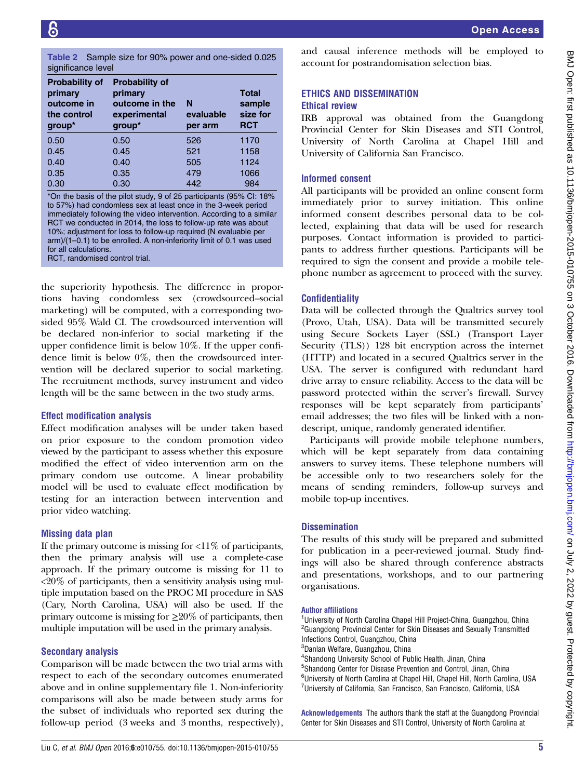<span id="page-4-0"></span>

| <b>Probability of</b><br>primary<br>outcome in<br>the control<br>group* | <b>Probability of</b><br>primary<br>outcome in the<br>experimental<br>group* | N<br>evaluable<br>per arm | <b>Total</b><br>sample<br>size for<br><b>RCT</b> |
|-------------------------------------------------------------------------|------------------------------------------------------------------------------|---------------------------|--------------------------------------------------|
| 0.50                                                                    | 0.50                                                                         | 526                       | 1170                                             |
| 0.45                                                                    | 0.45                                                                         | 521                       | 1158                                             |
| 0.40                                                                    | 0.40                                                                         | 505                       | 1124                                             |
| 0.35                                                                    | 0.35                                                                         | 479                       | 1066                                             |
| 0.30                                                                    | 0.30                                                                         | 442                       | 984                                              |

\*On the basis of the pilot study, 9 of 25 participants (95% CI: 18% to 57%) had condomless sex at least once in the 3-week period immediately following the video intervention. According to a similar RCT we conducted in 2014, the loss to follow-up rate was about 10%; adjustment for loss to follow-up required (N evaluable per arm)/(1–0.1) to be enrolled. A non-inferiority limit of 0.1 was used for all calculations. RCT, randomised control trial.

the superiority hypothesis. The difference in proportions having condomless sex (crowdsourced–social marketing) will be computed, with a corresponding twosided 95% Wald CI. The crowdsourced intervention will be declared non-inferior to social marketing if the upper confidence limit is below 10%. If the upper confidence limit is below 0%, then the crowdsourced intervention will be declared superior to social marketing. The recruitment methods, survey instrument and video length will be the same between in the two study arms.

### Effect modification analysis

Effect modification analyses will be under taken based on prior exposure to the condom promotion video viewed by the participant to assess whether this exposure modified the effect of video intervention arm on the primary condom use outcome. A linear probability model will be used to evaluate effect modification by testing for an interaction between intervention and prior video watching.

### Missing data plan

If the primary outcome is missing for  $\langle 11\%$  of participants, then the primary analysis will use a complete-case approach. If the primary outcome is missing for 11 to  $\langle 20\%$  of participants, then a sensitivity analysis using multiple imputation based on the PROC MI procedure in SAS (Cary, North Carolina, USA) will also be used. If the primary outcome is missing for  $\geq 20\%$  of participants, then multiple imputation will be used in the primary analysis.

### Secondary analysis

Comparison will be made between the two trial arms with respect to each of the secondary outcomes enumerated above and in online [supplementary](http://dx.doi.org/10.1136/bmjopen-2015-010755) file 1. Non-inferiority comparisons will also be made between study arms for the subset of individuals who reported sex during the follow-up period (3 weeks and 3 months, respectively),

and causal inference methods will be employed to account for postrandomisation selection bias.

# ETHICS AND DISSEMINATION

# Ethical review

IRB approval was obtained from the Guangdong Provincial Center for Skin Diseases and STI Control, University of North Carolina at Chapel Hill and University of California San Francisco.

# Informed consent

All participants will be provided an online consent form immediately prior to survey initiation. This online informed consent describes personal data to be collected, explaining that data will be used for research purposes. Contact information is provided to participants to address further questions. Participants will be required to sign the consent and provide a mobile telephone number as agreement to proceed with the survey.

# **Confidentiality**

Data will be collected through the Qualtrics survey tool (Provo, Utah, USA). Data will be transmitted securely using Secure Sockets Layer (SSL) (Transport Layer Security (TLS)) 128 bit encryption across the internet (HTTP) and located in a secured Qualtrics server in the USA. The server is configured with redundant hard drive array to ensure reliability. Access to the data will be password protected within the server's firewall. Survey responses will be kept separately from participants' email addresses; the two files will be linked with a nondescript, unique, randomly generated identifier.

Participants will provide mobile telephone numbers, which will be kept separately from data containing answers to survey items. These telephone numbers will be accessible only to two researchers solely for the means of sending reminders, follow-up surveys and mobile top-up incentives.

### **Dissemination**

The results of this study will be prepared and submitted for publication in a peer-reviewed journal. Study findings will also be shared through conference abstracts and presentations, workshops, and to our partnering organisations.

#### Author affiliations

<sup>1</sup>University of North Carolina Chapel Hill Project-China, Guangzhou, China <sup>2</sup>Guangdong Provincial Center for Skin Diseases and Sexually Transmitted Infections Control, Guangzhou, China

3 Danlan Welfare, Guangzhou, China

- 4 Shandong University School of Public Health, Jinan, China
- 5 Shandong Center for Disease Prevention and Control, Jinan, China
- 6 University of North Carolina at Chapel Hill, Chapel Hill, North Carolina, USA <sup>7</sup>University of California, San Francisco, San Francisco, California, USA

Acknowledgements The authors thank the staff at the Guangdong Provincial Center for Skin Diseases and STI Control, University of North Carolina at